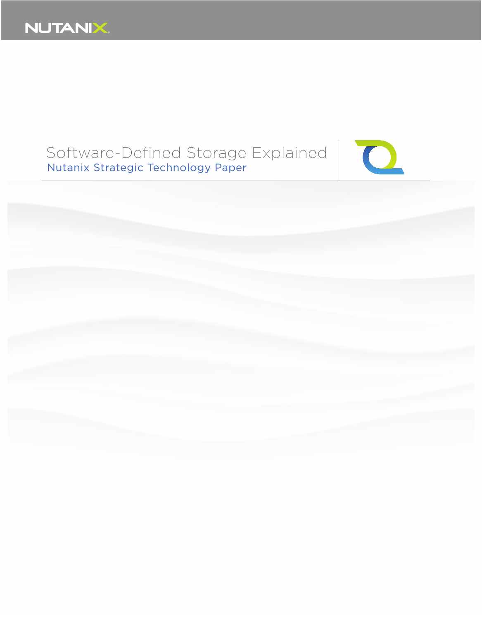

# Software-Defined Storage Explained Nutanix Strategic Technology Paper



 $\overline{C}$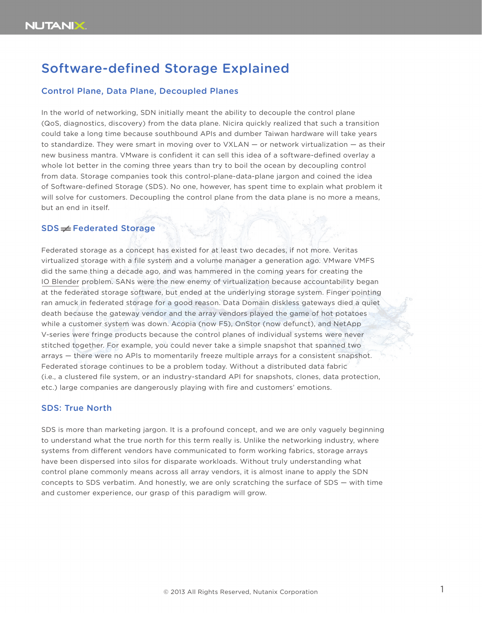## Software-defined Storage Explained

### Control Plane, Data Plane, Decoupled Planes

In the world of networking, SDN initially meant the ability to decouple the control plane (QoS, diagnostics, discovery) from the data plane. Nicira quickly realized that such a transition could take a long time because southbound APIs and dumber Taiwan hardware will take years to standardize. They were smart in moving over to VXLAN — or network virtualization — as their new business mantra. VMware is confident it can sell this idea of a software-defined overlay a whole lot better in the coming three years than try to boil the ocean by decoupling control from data. Storage companies took this control-plane-data-plane jargon and coined the idea of Software-defined Storage (SDS). No one, however, has spent time to explain what problem it will solve for customers. Decoupling the control plane from the data plane is no more a means, but an end in itself.

## $SDS \neq$  Federated Storage

Federated storage as a concept has existed for at least two decades, if not more. Veritas virtualized storage with a file system and a volume manager a generation ago. VMware VMFS did the same thing a decade ago, and was hammered in the coming years for creating the [IO Blender p](http://blog.fosketts.net/series/the-io-blender/)roblem. SANs were the new enemy of virtualization because accountability began at the federated storage software, but ended at the underlying storage system. Finger pointing ran amuck in federated storage for a good reason. Data Domain diskless gateways died a quiet death because the gateway vendor and the array vendors played the game of hot potatoes while a customer system was down. Acopia (now F5), OnStor (now defunct), and NetApp V-series were fringe products because the control planes of individual systems were never stitched together. For example, you could never take a simple snapshot that spanned two arrays — there were no APIs to momentarily freeze multiple arrays for a consistent snapshot. Federated storage continues to be a problem today. Without a distributed data fabric (i.e., a clustered file system, or an industry-standard API for snapshots, clones, data protection, etc.) large companies are dangerously playing with fire and customers' emotions.

#### SDS: True North

SDS is more than marketing jargon. It is a profound concept, and we are only vaguely beginning to understand what the true north for this term really is. Unlike the networking industry, where systems from different vendors have communicated to form working fabrics, storage arrays have been dispersed into silos for disparate workloads. Without truly understanding what control plane commonly means across all array vendors, it is almost inane to apply the SDN concepts to SDS verbatim. And honestly, we are only scratching the surface of SDS — with time and customer experience, our grasp of this paradigm will grow.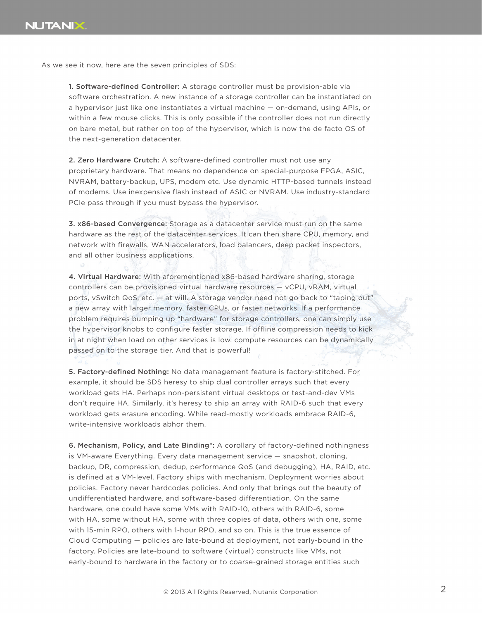As we see it now, here are the seven principles of SDS:

1. Software-defined Controller: A storage controller must be provision-able via software orchestration. A new instance of a storage controller can be instantiated on a hypervisor just like one instantiates a virtual machine — on-demand, using APIs, or within a few mouse clicks. This is only possible if the controller does not run directly on bare metal, but rather on top of the hypervisor, which is now the de facto OS of the next-generation datacenter.

2. Zero Hardware Crutch: A software-defined controller must not use any proprietary hardware. That means no dependence on special-purpose FPGA, ASIC, NVRAM, battery-backup, UPS, modem etc. Use dynamic HTTP-based tunnels instead of modems. Use inexpensive flash instead of ASIC or NVRAM. Use industry-standard PCIe pass through if you must bypass the hypervisor.

3. x86-based Convergence: Storage as a datacenter service must run on the same hardware as the rest of the datacenter services. It can then share CPU, memory, and network with firewalls, WAN accelerators, load balancers, deep packet inspectors, and all other business applications.

4. Virtual Hardware: With aforementioned x86-based hardware sharing, storage controllers can be provisioned virtual hardware resources — vCPU, vRAM, virtual ports, vSwitch QoS, etc. — at will. A storage vendor need not go back to "taping out" a new array with larger memory, faster CPUs, or faster networks. If a performance problem requires bumping up "hardware" for storage controllers, one can simply use the hypervisor knobs to configure faster storage. If offline compression needs to kick in at night when load on other services is low, compute resources can be dynamically passed on to the storage tier. And that is powerful!

5. Factory-defined Nothing: No data management feature is factory-stitched. For example, it should be SDS heresy to ship dual controller arrays such that every workload gets HA. Perhaps non-persistent virtual desktops or test-and-dev VMs don't require HA. Similarly, it's heresy to ship an array with RAID-6 such that every workload gets erasure encoding. While read-mostly workloads embrace RAID-6, write-intensive workloads abhor them.

6. Mechanism, Policy, and Late Binding\*: A corollary of factory-defined nothingness is VM-aware Everything. Every data management service — snapshot, cloning, backup, DR, compression, dedup, performance QoS (and debugging), HA, RAID, etc. is defined at a VM-level. Factory ships with mechanism. Deployment worries about policies. Factory never hardcodes policies. And only that brings out the beauty of undifferentiated hardware, and software-based differentiation. On the same hardware, one could have some VMs with RAID-10, others with RAID-6, some with HA, some without HA, some with three copies of data, others with one, some with 15-min RPO, others with 1-hour RPO, and so on. This is the true essence of Cloud Computing — policies are late-bound at deployment, not early-bound in the factory. Policies are late-bound to software (virtual) constructs like VMs, not early-bound to hardware in the factory or to coarse-grained storage entities such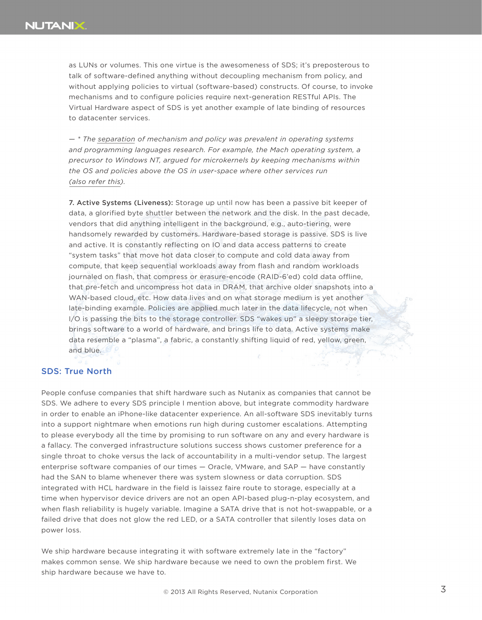as LUNs or volumes. This one virtue is the awesomeness of SDS; it's preposterous to talk of software-defined anything without decoupling mechanism from policy, and without applying policies to virtual (software-based) constructs. Of course, to invoke mechanisms and to configure policies require next-generation RESTful APIs. The Virtual Hardware aspect of SDS is yet another example of late binding of resources to datacenter services.

*—
\* The [separation](http://en.wikipedia.org/wiki/Separation_of_mechanism_and_policy) of mechanism and policy was prevalent in operating systems and programming languages research. For example, the Mach operating system, a precursor to Windows NT, argued for microkernels by keeping mechanisms within the OS and policies above the OS in user-space where other services run (also refer [this\).](https://sites.google.com/site/mylokesh/policyvsmechanism)*

7. Active Systems (Liveness): Storage up until now has been a passive bit keeper of data, a glorified byte shuttler between the network and the disk. In the past decade, vendors that did anything intelligent in the background, e.g., auto-tiering, were handsomely rewarded by customers. Hardware-based storage is passive. SDS is live and active. It is constantly reflecting on IO and data access patterns to create "system tasks" that move hot data closer to compute and cold data away from compute, that keep sequential workloads away from flash and random workloads journaled on flash, that compress or erasure-encode (RAID-6'ed) cold data offline, that pre-fetch and uncompress hot data in DRAM, that archive older snapshots into a WAN-based cloud, etc. How data lives and on what storage medium is yet another late-binding example. Policies are applied much later in the data lifecycle, not when I/O is passing the bits to the storage controller. SDS "wakes up" a sleepy storage tier, brings software to a world of hardware, and brings life to data. Active systems make data resemble a "plasma", a fabric, a constantly shifting liquid of red, yellow, green, and blue.

#### SDS: True North

People confuse companies that shift hardware such as Nutanix as companies that cannot be SDS. We adhere to every SDS principle I mention above, but integrate commodity hardware in order to enable an iPhone-like datacenter experience. An all-software SDS inevitably turns into a support nightmare when emotions run high during customer escalations. Attempting to please everybody all the time by promising to run software on any and every hardware is a fallacy. The converged infrastructure solutions success shows customer preference for a single throat to choke versus the lack of accountability in a multi-vendor setup. The largest enterprise software companies of our times — Oracle, VMware, and SAP — have constantly had the SAN to blame whenever there was system slowness or data corruption. SDS integrated with HCL hardware in the field is laissez faire route to storage, especially at a time when hypervisor device drivers are not an open API-based plug-n-play ecosystem, and when flash reliability is hugely variable. Imagine a SATA drive that is not hot-swappable, or a failed drive that does not glow the red LED, or a SATA controller that silently loses data on power loss.

We ship hardware because integrating it with software extremely late in the "factory" makes common sense. We ship hardware because we need to own the problem first. We ship hardware because we have to.